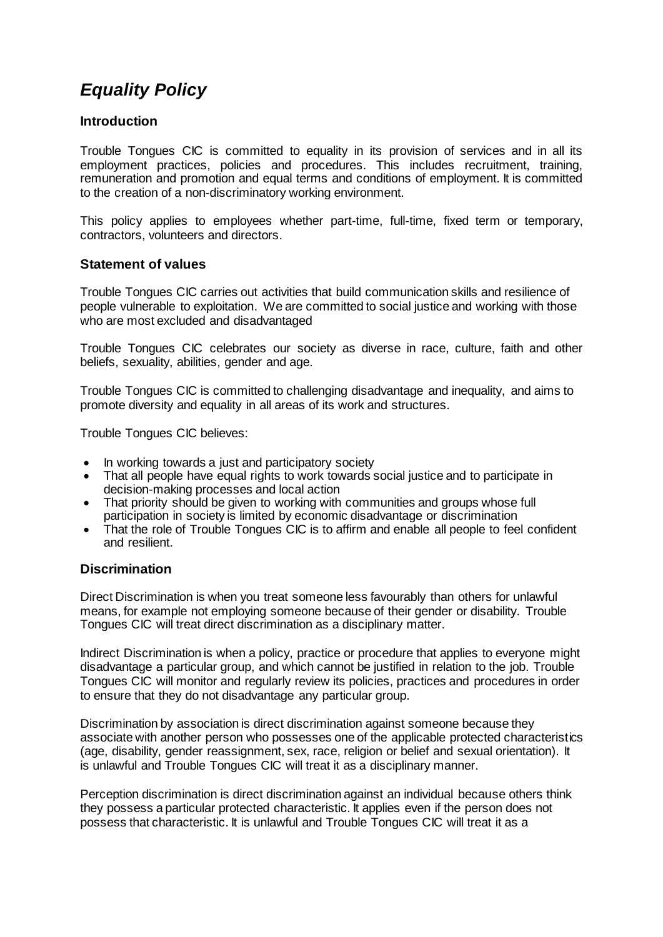# *Equality Policy*

## **Introduction**

Trouble Tongues CIC is committed to equality in its provision of services and in all its employment practices, policies and procedures. This includes recruitment, training, remuneration and promotion and equal terms and conditions of employment. It is committed to the creation of a non-discriminatory working environment.

This policy applies to employees whether part-time, full-time, fixed term or temporary, contractors, volunteers and directors.

## **Statement of values**

Trouble Tongues CIC carries out activities that build communication skills and resilience of people vulnerable to exploitation. We are committed to social justice and working with those who are most excluded and disadvantaged

Trouble Tongues CIC celebrates our society as diverse in race, culture, faith and other beliefs, sexuality, abilities, gender and age.

Trouble Tongues CIC is committed to challenging disadvantage and inequality, and aims to promote diversity and equality in all areas of its work and structures.

Trouble Tongues CIC believes:

- In working towards a just and participatory society
- That all people have equal rights to work towards social justice and to participate in decision-making processes and local action
- That priority should be given to working with communities and groups whose full participation in society is limited by economic disadvantage or discrimination
- That the role of Trouble Tongues CIC is to affirm and enable all people to feel confident and resilient.

#### **Discrimination**

Direct Discrimination is when you treat someone less favourably than others for unlawful means, for example not employing someone because of their gender or disability. Trouble Tongues CIC will treat direct discrimination as a disciplinary matter.

Indirect Discrimination is when a policy, practice or procedure that applies to everyone might disadvantage a particular group, and which cannot be justified in relation to the job. Trouble Tongues CIC will monitor and regularly review its policies, practices and procedures in order to ensure that they do not disadvantage any particular group.

Discrimination by association is direct discrimination against someone because they associate with another person who possesses one of the applicable protected characteristics (age, disability, gender reassignment, sex, race, religion or belief and sexual orientation). It is unlawful and Trouble Tongues CIC will treat it as a disciplinary manner.

Perception discrimination is direct discrimination against an individual because others think they possess a particular protected characteristic. It applies even if the person does not possess that characteristic. It is unlawful and Trouble Tongues CIC will treat it as a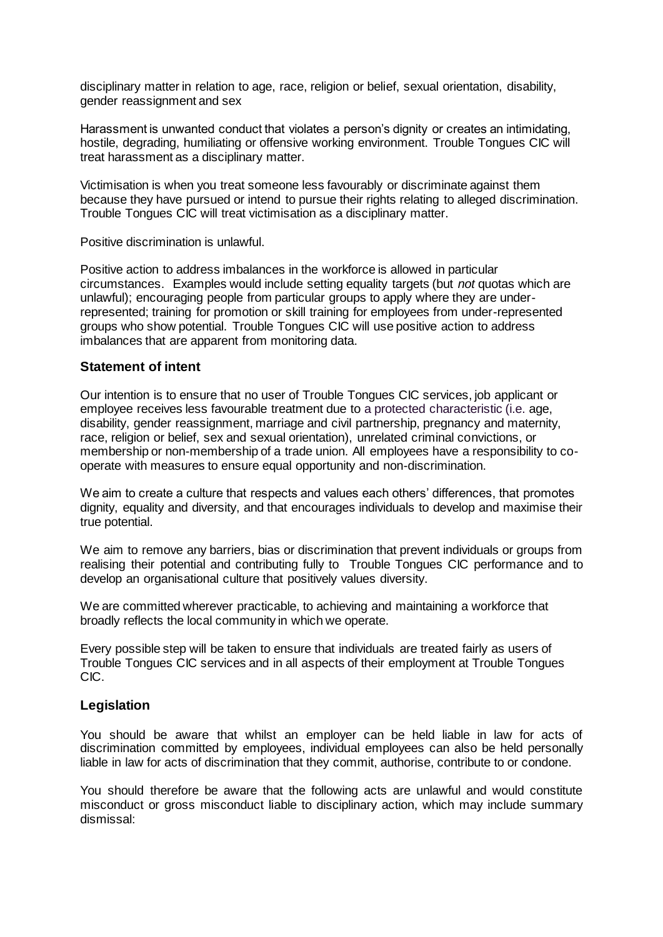disciplinary matter in relation to age, race, religion or belief, sexual orientation, disability, gender reassignment and sex

Harassment is unwanted conduct that violates a person's dignity or creates an intimidating, hostile, degrading, humiliating or offensive working environment. Trouble Tongues CIC will treat harassment as a disciplinary matter.

Victimisation is when you treat someone less favourably or discriminate against them because they have pursued or intend to pursue their rights relating to alleged discrimination. Trouble Tongues CIC will treat victimisation as a disciplinary matter.

Positive discrimination is unlawful.

Positive action to address imbalances in the workforce is allowed in particular circumstances. Examples would include setting equality targets (but *not* quotas which are unlawful); encouraging people from particular groups to apply where they are underrepresented; training for promotion or skill training for employees from under-represented groups who show potential. Trouble Tongues CIC will use positive action to address imbalances that are apparent from monitoring data.

#### **Statement of intent**

Our intention is to ensure that no user of Trouble Tongues CIC services, job applicant or employee receives less favourable treatment due to a protected characteristic (i.e. age, disability, gender reassignment, marriage and civil partnership, pregnancy and maternity, race, religion or belief, sex and sexual orientation), unrelated criminal convictions, or membership or non-membership of a trade union. All employees have a responsibility to cooperate with measures to ensure equal opportunity and non-discrimination.

We aim to create a culture that respects and values each others' differences, that promotes dignity, equality and diversity, and that encourages individuals to develop and maximise their true potential.

We aim to remove any barriers, bias or discrimination that prevent individuals or groups from realising their potential and contributing fully to Trouble Tongues CIC performance and to develop an organisational culture that positively values diversity.

We are committed wherever practicable, to achieving and maintaining a workforce that broadly reflects the local community in which we operate.

Every possible step will be taken to ensure that individuals are treated fairly as users of Trouble Tongues CIC services and in all aspects of their employment at Trouble Tongues CIC.

#### **Legislation**

You should be aware that whilst an employer can be held liable in law for acts of discrimination committed by employees, individual employees can also be held personally liable in law for acts of discrimination that they commit, authorise, contribute to or condone.

You should therefore be aware that the following acts are unlawful and would constitute misconduct or gross misconduct liable to disciplinary action, which may include summary dismissal: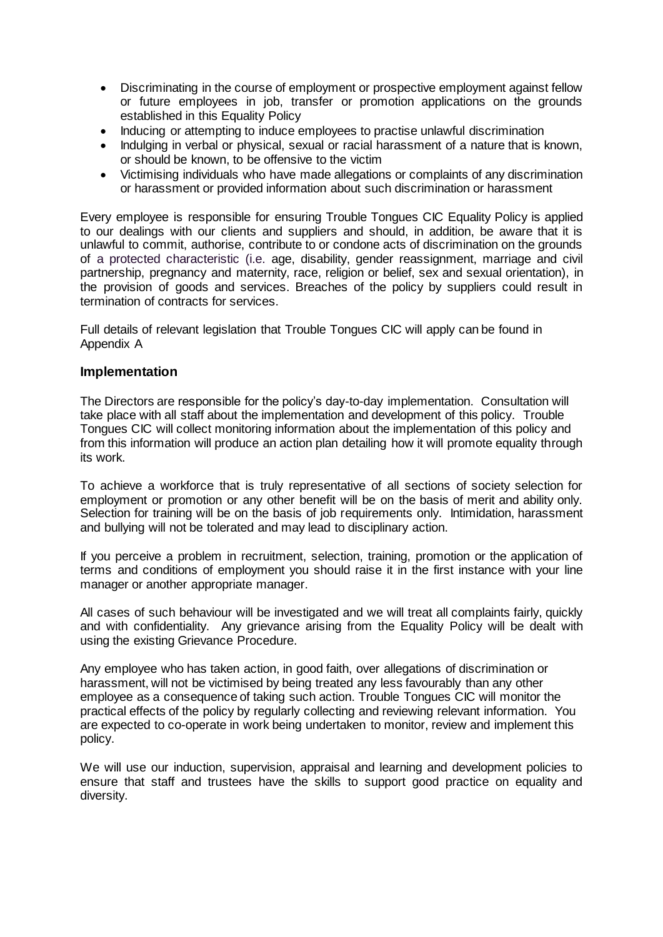- Discriminating in the course of employment or prospective employment against fellow or future employees in job, transfer or promotion applications on the grounds established in this Equality Policy
- Inducing or attempting to induce employees to practise unlawful discrimination
- Indulging in verbal or physical, sexual or racial harassment of a nature that is known, or should be known, to be offensive to the victim
- Victimising individuals who have made allegations or complaints of any discrimination or harassment or provided information about such discrimination or harassment

Every employee is responsible for ensuring Trouble Tongues CIC Equality Policy is applied to our dealings with our clients and suppliers and should, in addition, be aware that it is unlawful to commit, authorise, contribute to or condone acts of discrimination on the grounds of a protected characteristic (i.e. age, disability, gender reassignment, marriage and civil partnership, pregnancy and maternity, race, religion or belief, sex and sexual orientation), in the provision of goods and services. Breaches of the policy by suppliers could result in termination of contracts for services.

Full details of relevant legislation that Trouble Tongues CIC will apply can be found in Appendix A

#### **Implementation**

The Directors are responsible for the policy's day-to-day implementation. Consultation will take place with all staff about the implementation and development of this policy. Trouble Tongues CIC will collect monitoring information about the implementation of this policy and from this information will produce an action plan detailing how it will promote equality through its work.

To achieve a workforce that is truly representative of all sections of society selection for employment or promotion or any other benefit will be on the basis of merit and ability only. Selection for training will be on the basis of job requirements only. Intimidation, harassment and bullying will not be tolerated and may lead to disciplinary action.

If you perceive a problem in recruitment, selection, training, promotion or the application of terms and conditions of employment you should raise it in the first instance with your line manager or another appropriate manager.

All cases of such behaviour will be investigated and we will treat all complaints fairly, quickly and with confidentiality. Any grievance arising from the Equality Policy will be dealt with using the existing Grievance Procedure.

Any employee who has taken action, in good faith, over allegations of discrimination or harassment, will not be victimised by being treated any less favourably than any other employee as a consequence of taking such action. Trouble Tongues CIC will monitor the practical effects of the policy by regularly collecting and reviewing relevant information. You are expected to co-operate in work being undertaken to monitor, review and implement this policy.

We will use our induction, supervision, appraisal and learning and development policies to ensure that staff and trustees have the skills to support good practice on equality and diversity.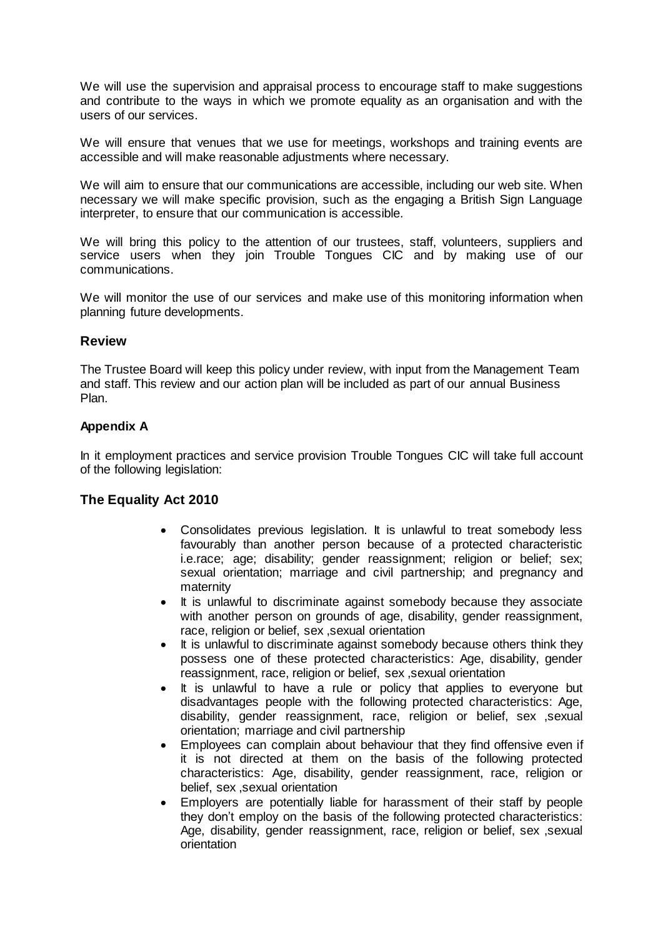We will use the supervision and appraisal process to encourage staff to make suggestions and contribute to the ways in which we promote equality as an organisation and with the users of our services.

We will ensure that venues that we use for meetings, workshops and training events are accessible and will make reasonable adjustments where necessary.

We will aim to ensure that our communications are accessible, including our web site. When necessary we will make specific provision, such as the engaging a British Sign Language interpreter, to ensure that our communication is accessible.

We will bring this policy to the attention of our trustees, staff, volunteers, suppliers and service users when they join Trouble Tongues CIC and by making use of our communications.

We will monitor the use of our services and make use of this monitoring information when planning future developments.

## **Review**

The Trustee Board will keep this policy under review, with input from the Management Team and staff. This review and our action plan will be included as part of our annual Business Plan.

#### **Appendix A**

In it employment practices and service provision Trouble Tongues CIC will take full account of the following legislation:

## **The Equality Act 2010**

- Consolidates previous legislation. It is unlawful to treat somebody less favourably than another person because of a protected characteristic i.e.race; age; disability; gender reassignment; religion or belief; sex; sexual orientation; marriage and civil partnership; and pregnancy and maternity
- It is unlawful to discriminate against somebody because they associate with another person on grounds of age, disability, gender reassignment, race, religion or belief, sex ,sexual orientation
- It is unlawful to discriminate against somebody because others think they possess one of these protected characteristics: Age, disability, gender reassignment, race, religion or belief, sex ,sexual orientation
- It is unlawful to have a rule or policy that applies to everyone but disadvantages people with the following protected characteristics: Age, disability, gender reassignment, race, religion or belief, sex ,sexual orientation; marriage and civil partnership
- Employees can complain about behaviour that they find offensive even if it is not directed at them on the basis of the following protected characteristics: Age, disability, gender reassignment, race, religion or belief, sex ,sexual orientation
- Employers are potentially liable for harassment of their staff by people they don't employ on the basis of the following protected characteristics: Age, disability, gender reassignment, race, religion or belief, sex ,sexual orientation